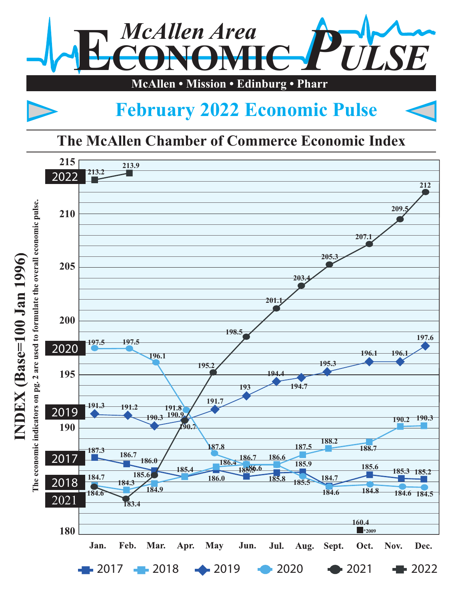

## **February 2022 Economic Pulse**

## **The McAllen Chamber of Commerce Economic Index**

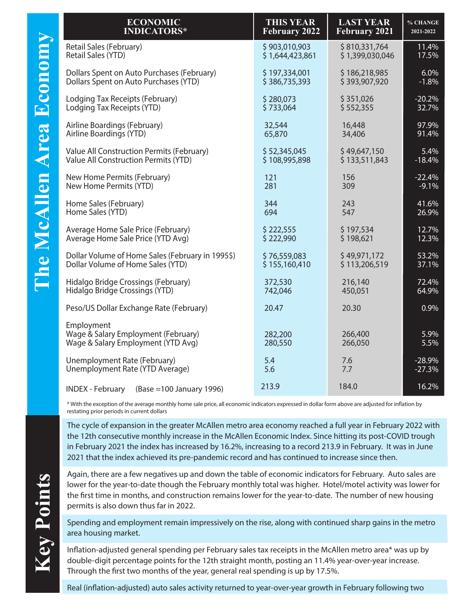| <b>ECONOMIC</b>                                                                         | <b>THIS YEAR</b>     | <b>LAST YEAR</b>     | % CHANGE     |
|-----------------------------------------------------------------------------------------|----------------------|----------------------|--------------|
| <b>INDICATORS*</b>                                                                      | <b>February 2022</b> | <b>February 2021</b> | 2021-2022    |
| Retail Sales (February)                                                                 | \$903,010,903        | \$810,331,764        | 11.4%        |
| Retail Sales (YTD)                                                                      | \$1,644,423,861      | \$1,399,030,046      | 17.5%        |
| Dollars Spent on Auto Purchases (February)                                              | \$197,334,001        | \$186,218,985        | 6.0%         |
| Dollars Spent on Auto Purchases (YTD)                                                   | \$386,735,393        | \$393,907,920        | $-1.8%$      |
| Lodging Tax Receipts (February)                                                         | \$280,073            | \$351,026            | $-20.2%$     |
| Lodging Tax Receipts (YTD)                                                              | \$733,064            | \$552,355            | 32.7%        |
| Airline Boardings (February)                                                            | 32,544               | 16,448               | 97.9%        |
| Airline Boardings (YTD)                                                                 | 65,870               | 34,406               | 91.4%        |
| Value All Construction Permits (February)                                               | \$52,345,045         | \$49,647,150         | 5.4%         |
| Value All Construction Permits (YTD)                                                    | \$108,995,898        | \$133,511,843        | $-18.4%$     |
| New Home Permits (February)                                                             | 121                  | 156                  | $-22.4%$     |
| New Home Permits (YTD)                                                                  | 281                  | 309                  | $-9.1%$      |
| Home Sales (February)                                                                   | 344                  | 243                  | 41.6%        |
| Home Sales (YTD)                                                                        | 694                  | 547                  | 26.9%        |
| Average Home Sale Price (February)                                                      | \$222,555            | \$197,534            | 12.7%        |
| Average Home Sale Price (YTD Avg)                                                       | \$222,990            | \$198,621            | 12.3%        |
| Dollar Volume of Home Sales (February in 1995\$)                                        | \$76,559,083         | \$49,971,172         | 53.2%        |
| Dollar Volume of Home Sales (YTD)                                                       | \$155,160,410        | \$113,206,519        | 37.1%        |
| Hidalgo Bridge Crossings (February)                                                     | 372,530              | 216,140              | 72.4%        |
| Hidalgo Bridge Crossings (YTD)                                                          | 742,046              | 450,051              | 64.9%        |
| Peso/US Dollar Exchange Rate (February)                                                 | 20.47                | 20.30                | 0.9%         |
| Employment<br>Wage & Salary Employment (February)<br>Wage & Salary Employment (YTD Avg) | 282,200<br>280,550   | 266,400<br>266,050   | 5.9%<br>5.5% |
| Unemployment Rate (February)                                                            | 5.4                  | 7.6                  | $-28.9%$     |
| Unemployment Rate (YTD Average)                                                         | 5.6                  | 7.7                  | $-27.3%$     |
| <b>INDEX</b> - February<br>(Base = 100 January 1996)                                    | 213.9                | 184.0                | 16.2%        |

\* With the exception of the average monthly home sale price, all economic indicators expressed in dollar form above are adjusted for ination by restating prior periods in current dollars

The cycle of expansion in the greater McAllen metro area economy reached a full year in February 2022 with the 12th consecutive monthly increase in the McAllen Economic Index. Since hitting its post-COVID trough in February 2021 the index has increased by 16.2%, increasing to a record 213.9 in February. It was in June 2021 that the index achieved its pre-pandemic record and has continued to increase since then.

Again, there are a few negatives up and down the table of economic indicators for February. Auto sales are lower for the year-to-date though the February monthly total was higher. Hotel/motel activity was lower for the first time in months, and construction remains lower for the year-to-date. The number of new housing permits is also down thus far in 2022.

Spending and employment remain impressively on the rise, along with continued sharp gains in the metro area housing market.

Inflation-adjusted general spending per February sales tax receipts in the McAllen metro area\* was up by double-digit percentage points for the 12th straight month, posting an 11.4% year-over-year increase. Through the first two months of the year, general real spending is up by 17.5%.

Real (inflation-adjusted) auto sales activity returned to year-over-year growth in February following two